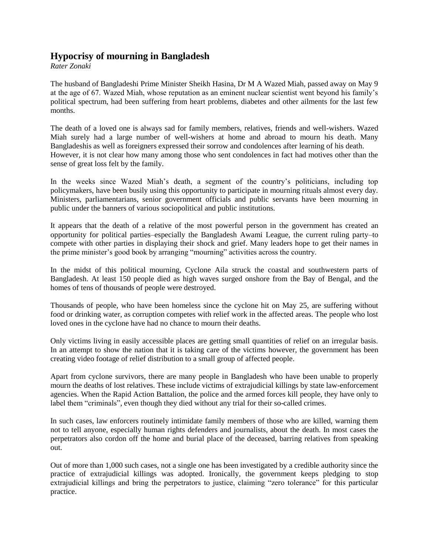## **Hypocrisy of mourning in Bangladesh**

*Rater Zonaki*

The husband of Bangladeshi Prime Minister Sheikh Hasina, Dr M A Wazed Miah, passed away on May 9 at the age of 67. Wazed Miah, whose reputation as an eminent nuclear scientist went beyond his family's political spectrum, had been suffering from heart problems, diabetes and other ailments for the last few months.

The death of a loved one is always sad for family members, relatives, friends and well-wishers. Wazed Miah surely had a large number of well-wishers at home and abroad to mourn his death. Many Bangladeshis as well as foreigners expressed their sorrow and condolences after learning of his death. However, it is not clear how many among those who sent condolences in fact had motives other than the sense of great loss felt by the family.

In the weeks since Wazed Miah's death, a segment of the country's politicians, including top policymakers, have been busily using this opportunity to participate in mourning rituals almost every day. Ministers, parliamentarians, senior government officials and public servants have been mourning in public under the banners of various sociopolitical and public institutions.

It appears that the death of a relative of the most powerful person in the government has created an opportunity for political parties–especially the Bangladesh Awami League, the current ruling party–to compete with other parties in displaying their shock and grief. Many leaders hope to get their names in the prime minister's good book by arranging "mourning" activities across the country.

In the midst of this political mourning, Cyclone Aila struck the coastal and southwestern parts of Bangladesh. At least 150 people died as high waves surged onshore from the Bay of Bengal, and the homes of tens of thousands of people were destroyed.

Thousands of people, who have been homeless since the cyclone hit on May 25, are suffering without food or drinking water, as corruption competes with relief work in the affected areas. The people who lost loved ones in the cyclone have had no chance to mourn their deaths.

Only victims living in easily accessible places are getting small quantities of relief on an irregular basis. In an attempt to show the nation that it is taking care of the victims however, the government has been creating video footage of relief distribution to a small group of affected people.

Apart from cyclone survivors, there are many people in Bangladesh who have been unable to properly mourn the deaths of lost relatives. These include victims of extrajudicial killings by state law-enforcement agencies. When the Rapid Action Battalion, the police and the armed forces kill people, they have only to label them "criminals", even though they died without any trial for their so-called crimes.

In such cases, law enforcers routinely intimidate family members of those who are killed, warning them not to tell anyone, especially human rights defenders and journalists, about the death. In most cases the perpetrators also cordon off the home and burial place of the deceased, barring relatives from speaking out.

Out of more than 1,000 such cases, not a single one has been investigated by a credible authority since the practice of extrajudicial killings was adopted. Ironically, the government keeps pledging to stop extrajudicial killings and bring the perpetrators to justice, claiming "zero tolerance" for this particular practice.